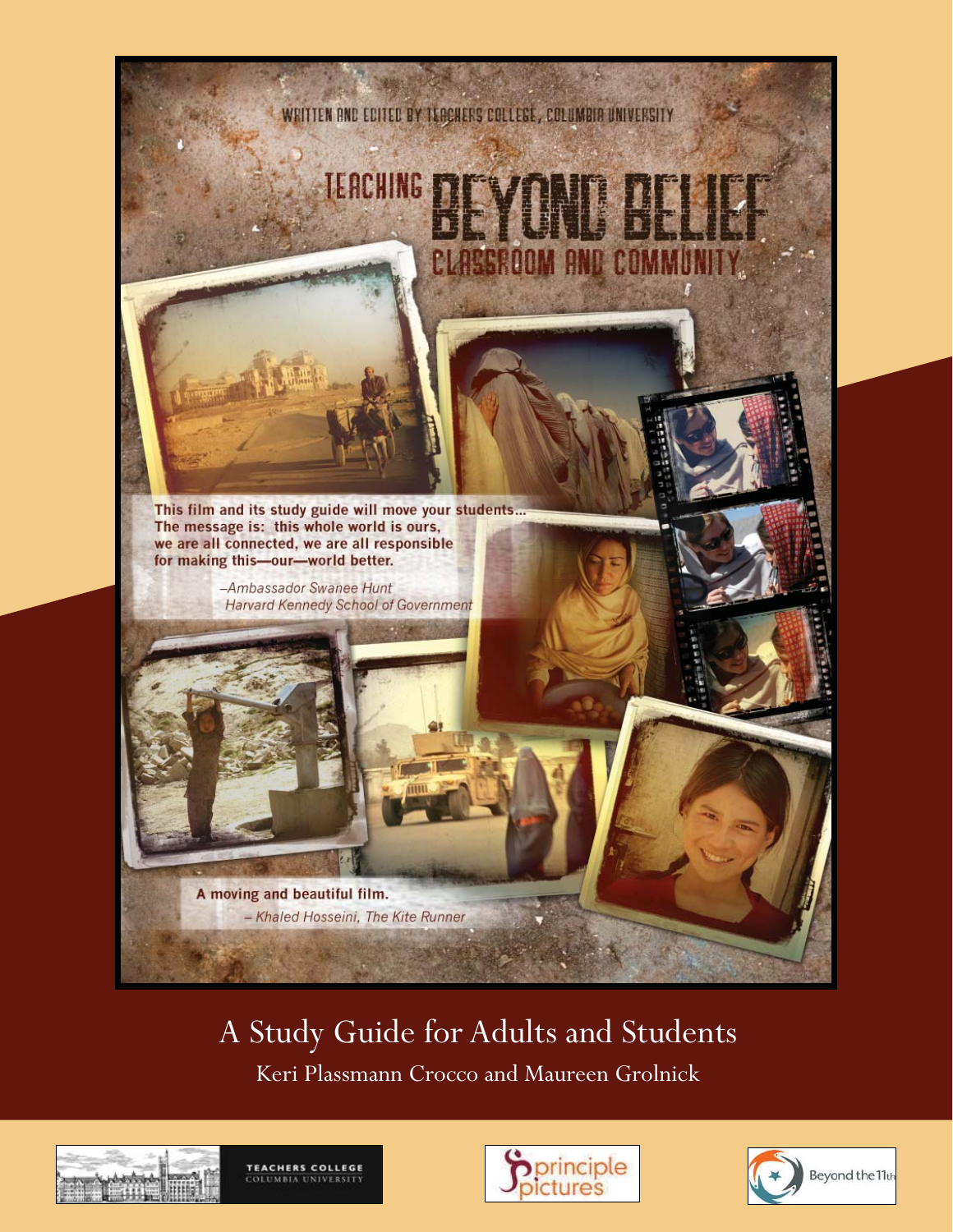

# A Study Guide for Adults and Students

Keri Plassmann Crocco and Maureen Grolnick







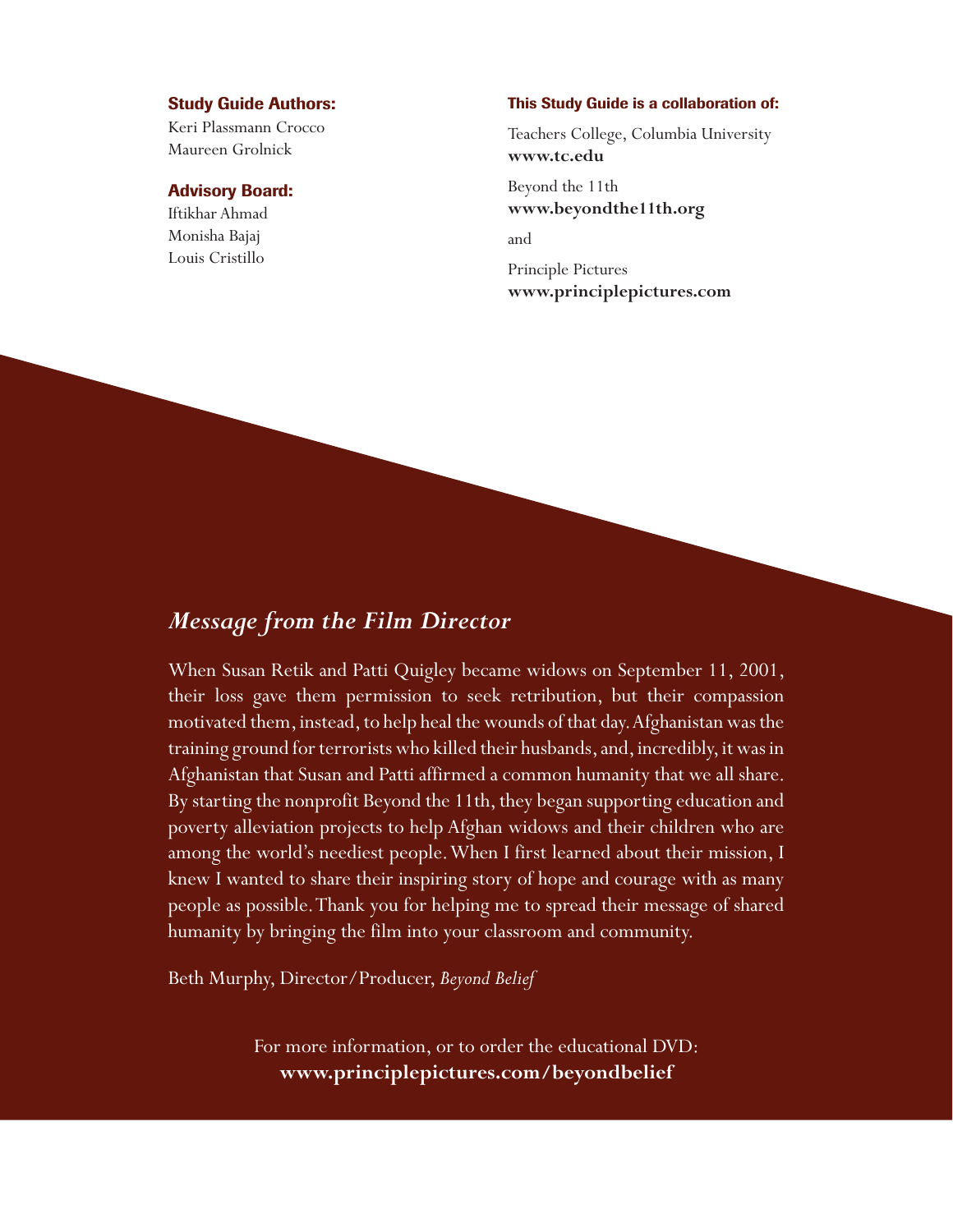#### **Study Guide Authors:**

Keri Plassmann Crocco Maureen Grolnick

## **Advisory Board:**

Iftikhar Ahmad Monisha Bajaj Louis Cristillo

#### **This Study Guide is a collaboration of:**

Teachers College, Columbia University **www.tc.edu**

Beyond the 11th **www.beyondthe11th.org**

and

Principle Pictures **www.principlepictures.com**

# *Message from the Film Director*

When Susan Retik and Patti Quigley became widows on September 11, 2001, their loss gave them permission to seek retribution, but their compassion motivated them, instead, to help heal the wounds of that day. Afghanistan was the training ground for terrorists who killed their husbands, and, incredibly, it was in Afghanistan that Susan and Patti affirmed a common humanity that we all share. By starting the nonprofit Beyond the 11th, they began supporting education and poverty alleviation projects to help Afghan widows and their children who are among the world's neediest people. When I first learned about their mission, I knew I wanted to share their inspiring story of hope and courage with as many people as possible. Thank you for helping me to spread their message of shared humanity by bringing the film into your classroom and community.

Beth Murphy, Director/Producer, *Beyond Belief*

For more information, or to order the educational DVD: **www.principlepictures.com/beyondbelief**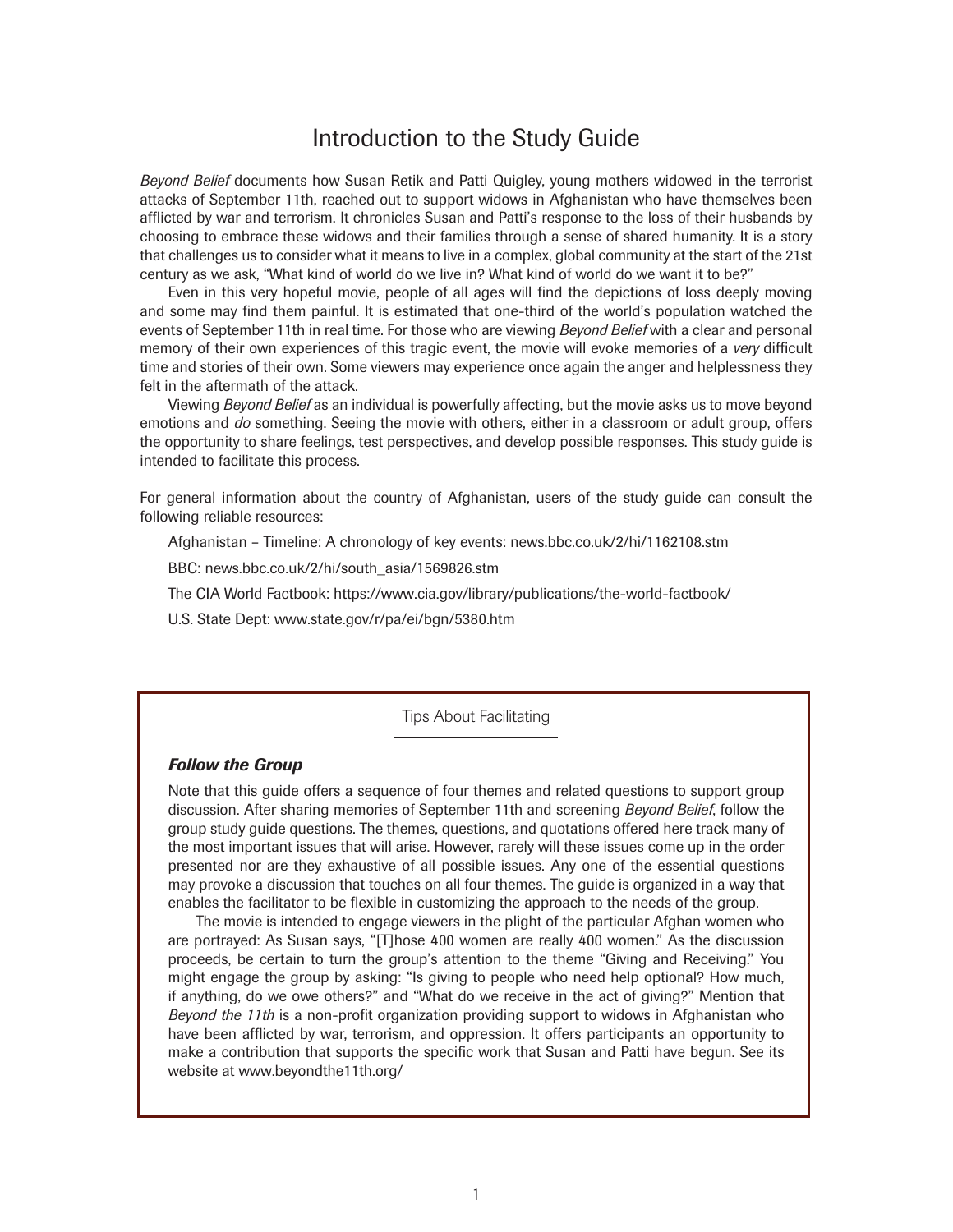# Introduction to the Study Guide

*Beyond Belief* documents how Susan Retik and Patti Quigley, young mothers widowed in the terrorist attacks of September 11th, reached out to support widows in Afghanistan who have themselves been afflicted by war and terrorism. It chronicles Susan and Patti's response to the loss of their husbands by choosing to embrace these widows and their families through a sense of shared humanity. It is a story that challenges us to consider what it means to live in a complex, global community at the start of the 21st century as we ask, "What kind of world do we live in? What kind of world do we want it to be?"

Even in this very hopeful movie, people of all ages will find the depictions of loss deeply moving and some may find them painful. It is estimated that one-third of the world's population watched the events of September 11th in real time. For those who are viewing *Beyond Belief* with a clear and personal memory of their own experiences of this tragic event, the movie will evoke memories of a *very* difficult time and stories of their own. Some viewers may experience once again the anger and helplessness they felt in the aftermath of the attack.

Viewing *Beyond Belief* as an individual is powerfully affecting, but the movie asks us to move beyond emotions and *do* something. Seeing the movie with others, either in a classroom or adult group, offers the opportunity to share feelings, test perspectives, and develop possible responses. This study guide is intended to facilitate this process.

For general information about the country of Afghanistan, users of the study guide can consult the following reliable resources:

Afghanistan – Timeline: A chronology of key events: news.bbc.co.uk/2/hi/1162108.stm

BBC: news.bbc.co.uk/2/hi/south\_asia/1569826.stm

The CIA World Factbook: https://www.cia.gov/library/publications/the-world-factbook/

U.S. State Dept: www.state.gov/r/pa/ei/bgn/5380.htm

Tips About Facilitating

# *Follow the Group*

Note that this guide offers a sequence of four themes and related questions to support group discussion. After sharing memories of September 11th and screening *Beyond Belief*, follow the group study guide questions. The themes, questions, and quotations offered here track many of the most important issues that will arise. However, rarely will these issues come up in the order presented nor are they exhaustive of all possible issues. Any one of the essential questions may provoke a discussion that touches on all four themes. The guide is organized in a way that enables the facilitator to be flexible in customizing the approach to the needs of the group.

The movie is intended to engage viewers in the plight of the particular Afghan women who are portrayed: As Susan says, "[T]hose 400 women are really 400 women." As the discussion proceeds, be certain to turn the group's attention to the theme "Giving and Receiving." You might engage the group by asking: "Is giving to people who need help optional? How much, if anything, do we owe others?" and "What do we receive in the act of giving?" Mention that *Beyond the 11th* is a non-profit organization providing support to widows in Afghanistan who have been afflicted by war, terrorism, and oppression. It offers participants an opportunity to make a contribution that supports the specific work that Susan and Patti have begun. See its website at www.beyondthe11th.org/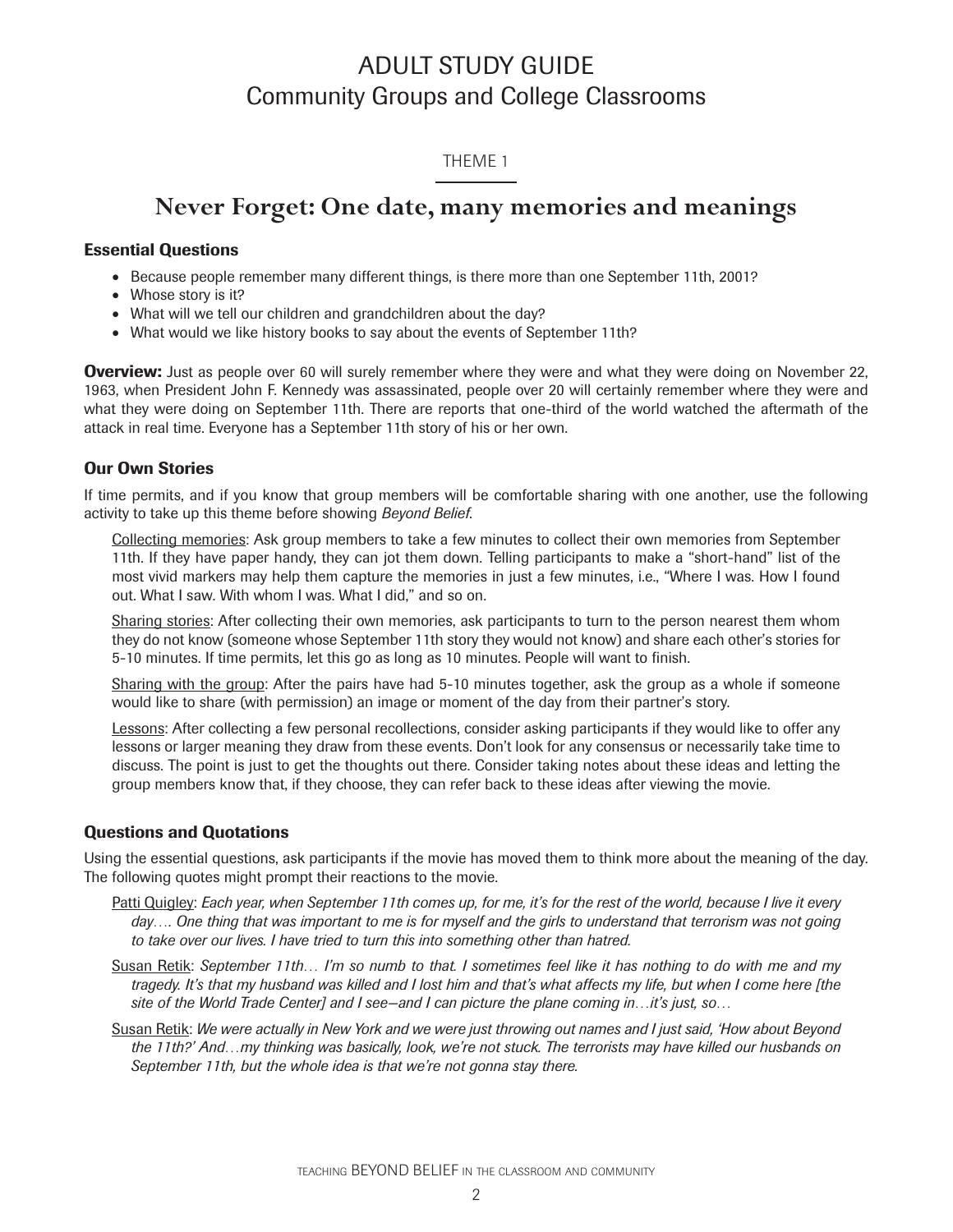# ADULT STUDY GUIDE Community Groups and College Classrooms

# THEME 1

# **Never Forget: One date, many memories and meanings**

## **Essential Questions**

- Because people remember many different things, is there more than one September 11th, 2001?
- Whose story is it?
- What will we tell our children and grandchildren about the day?
- What would we like history books to say about the events of September 11th?

**Overview:** Just as people over 60 will surely remember where they were and what they were doing on November 22, 1963, when President John F. Kennedy was assassinated, people over 20 will certainly remember where they were and what they were doing on September 11th. There are reports that one-third of the world watched the aftermath of the attack in real time. Everyone has a September 11th story of his or her own.

# **Our Own Stories**

If time permits, and if you know that group members will be comfortable sharing with one another, use the following activity to take up this theme before showing *Beyond Belief*.

Collecting memories: Ask group members to take a few minutes to collect their own memories from September 11th. If they have paper handy, they can jot them down. Telling participants to make a "short-hand" list of the most vivid markers may help them capture the memories in just a few minutes, i.e., "Where I was. How I found out. What I saw. With whom I was. What I did," and so on.

Sharing stories: After collecting their own memories, ask participants to turn to the person nearest them whom they do not know (someone whose September 11th story they would not know) and share each other's stories for 5-10 minutes. If time permits, let this go as long as 10 minutes. People will want to finish.

Sharing with the group: After the pairs have had 5-10 minutes together, ask the group as a whole if someone would like to share (with permission) an image or moment of the day from their partner's story.

Lessons: After collecting a few personal recollections, consider asking participants if they would like to offer any lessons or larger meaning they draw from these events. Don't look for any consensus or necessarily take time to discuss. The point is just to get the thoughts out there. Consider taking notes about these ideas and letting the group members know that, if they choose, they can refer back to these ideas after viewing the movie.

# **Questions and Quotations**

Using the essential questions, ask participants if the movie has moved them to think more about the meaning of the day. The following quotes might prompt their reactions to the movie.

- Patti Quigley: *Each year, when September 11th comes up, for me, it's for the rest of the world, because I live it every*  day.... One thing that was important to me is for myself and the girls to understand that terrorism was not going *to take over our lives. I have tried to turn this into something other than hatred.*
- Susan Retik: *September 11th… I'm so numb to that. I sometimes feel like it has nothing to do with me and my tragedy. It's that my husband was killed and I lost him and that's what affects my life, but when I come here [the site of the World Trade Center] and I see—and I can picture the plane coming in…it's just, so…*
- Susan Retik: *We were actually in New York and we were just throwing out names and I just said, 'How about Beyond the 11th?' And…my thinking was basically, look, we're not stuck. The terrorists may have killed our husbands on September 11th, but the whole idea is that we're not gonna stay there.*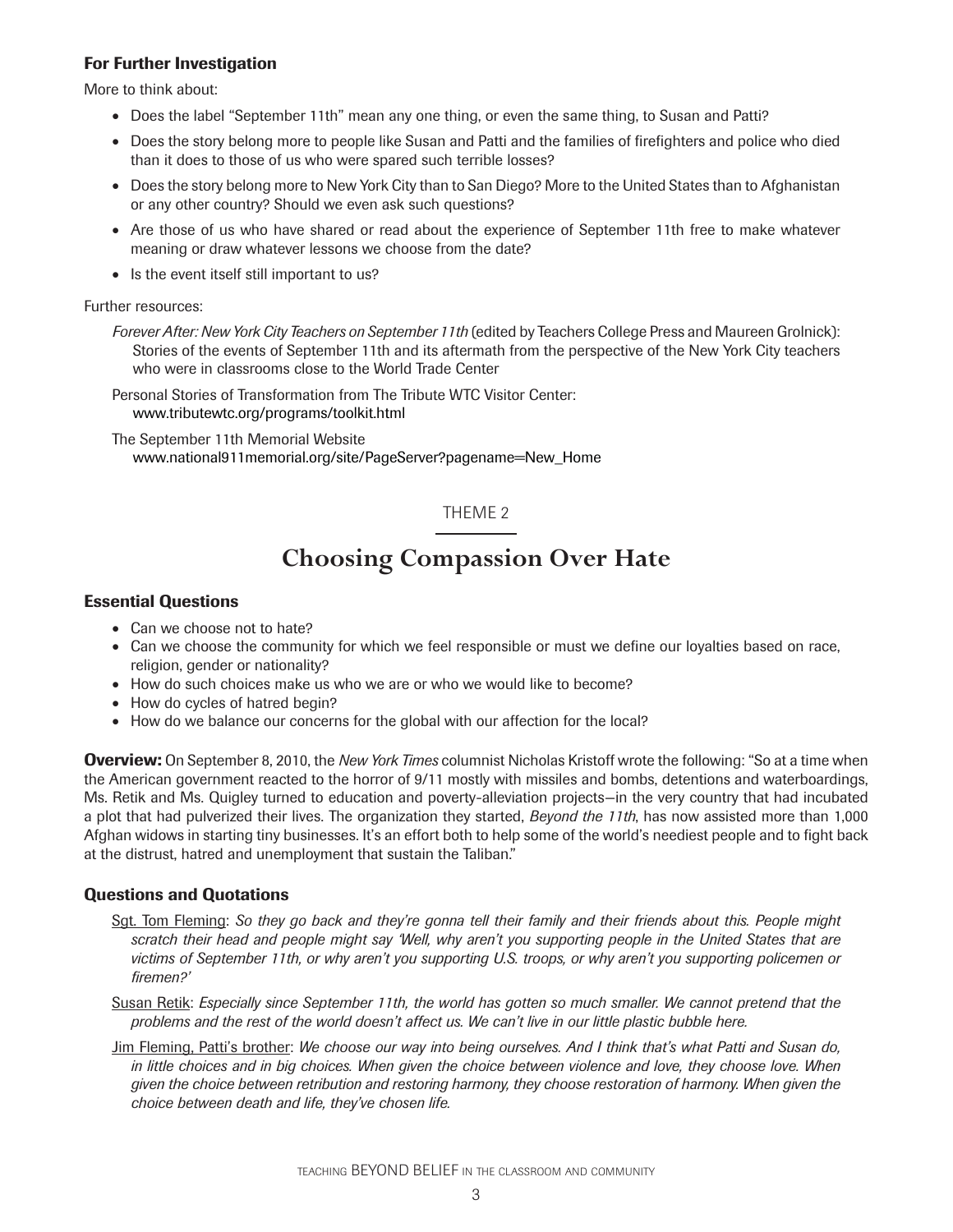More to think about:

- Does the label "September 11th" mean any one thing, or even the same thing, to Susan and Patti?
- Does the story belong more to people like Susan and Patti and the families of firefighters and police who died than it does to those of us who were spared such terrible losses?
- Does the story belong more to New York City than to San Diego? More to the United States than to Afghanistan or any other country? Should we even ask such questions?
- Are those of us who have shared or read about the experience of September 11th free to make whatever meaning or draw whatever lessons we choose from the date?
- Is the event itself still important to us?

#### Further resources:

*Forever After: New York City Teachers on September 11th* (edited by Teachers College Press and Maureen Grolnick): Stories of the events of September 11th and its aftermath from the perspective of the New York City teachers who were in classrooms close to the World Trade Center

Personal Stories of Transformation from The Tribute WTC Visitor Center: www.tributewtc.org/programs/toolkit.html

The September 11th Memorial Website www.national911memorial.org/site/PageServer?pagename=New\_Home

# THEME 2

# **Choosing Compassion Over Hate**

# **Essential Questions**

- Can we choose not to hate?
- Can we choose the community for which we feel responsible or must we define our loyalties based on race, religion, gender or nationality?
- How do such choices make us who we are or who we would like to become?
- How do cycles of hatred begin?
- How do we balance our concerns for the global with our affection for the local?

**Overview:** On September 8, 2010, the *New York Times* columnist Nicholas Kristoff wrote the following: "So at a time when the American government reacted to the horror of 9/11 mostly with missiles and bombs, detentions and waterboardings, Ms. Retik and Ms. Quigley turned to education and poverty-alleviation projects—in the very country that had incubated a plot that had pulverized their lives. The organization they started, *Beyond the 11th*, has now assisted more than 1,000 Afghan widows in starting tiny businesses. It's an effort both to help some of the world's neediest people and to fight back at the distrust, hatred and unemployment that sustain the Taliban."

# **Questions and Quotations**

- Sgt. Tom Fleming: *So they go back and they're gonna tell their family and their friends about this. People might scratch their head and people might say 'Well, why aren't you supporting people in the United States that are victims of September 11th, or why aren't you supporting U.S. troops, or why aren't you supporting policemen or fi remen?'*
- Susan Retik: *Especially since September 11th, the world has gotten so much smaller. We cannot pretend that the problems and the rest of the world doesn't affect us. We can't live in our little plastic bubble here.*
- Jim Fleming, Patti's brother: *We choose our way into being ourselves. And I think that's what Patti and Susan do, in little choices and in big choices. When given the choice between violence and love, they choose love. When given the choice between retribution and restoring harmony, they choose restoration of harmony. When given the choice between death and life, they've chosen life.*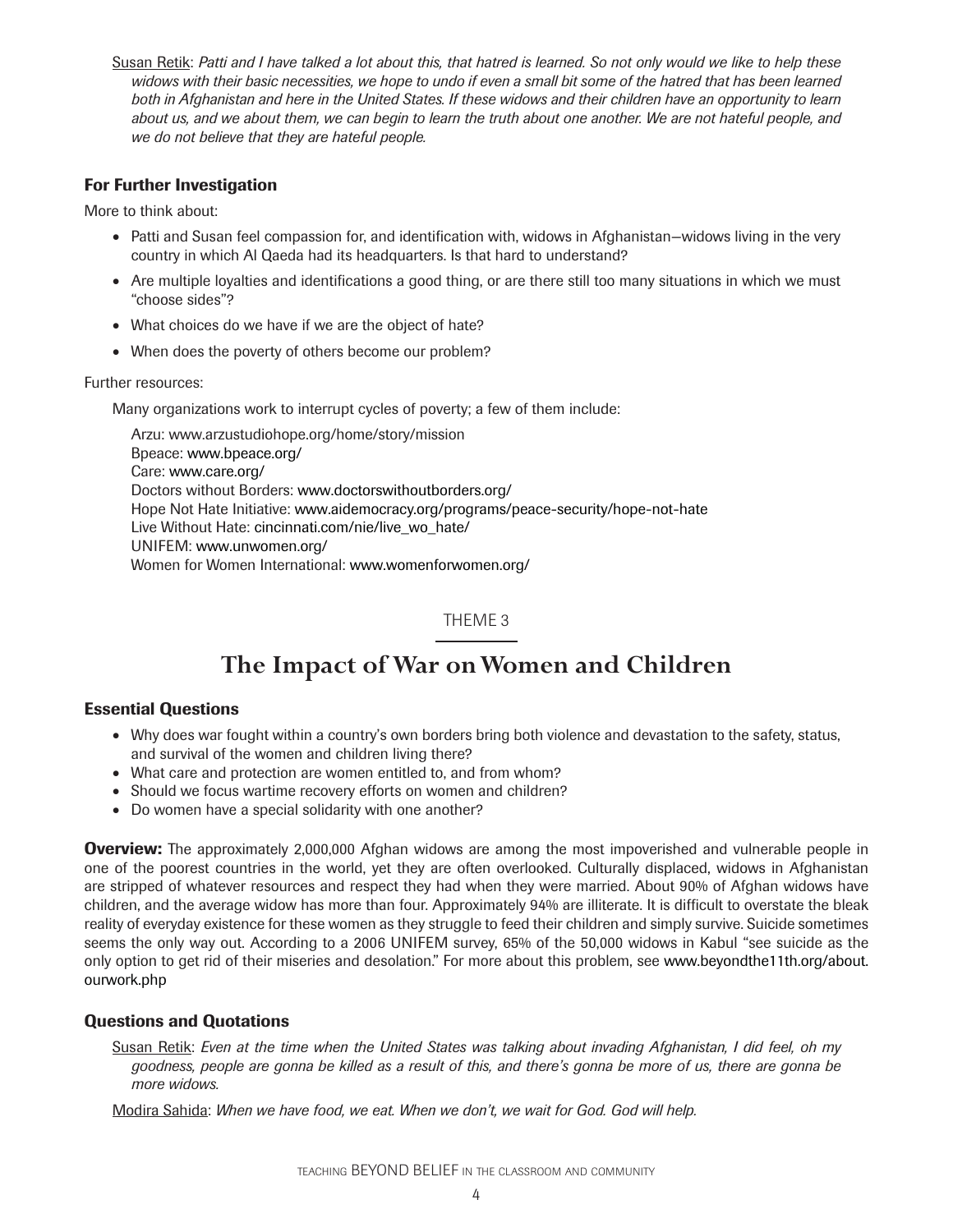Susan Retik: *Patti and I have talked a lot about this, that hatred is learned. So not only would we like to help these*  widows with their basic necessities, we hope to undo if even a small bit some of the hatred that has been learned *both in Afghanistan and here in the United States. If these widows and their children have an opportunity to learn*  about us, and we about them, we can begin to learn the truth about one another. We are not hateful people, and *we do not believe that they are hateful people.*

# **For Further Investigation**

More to think about:

- Patti and Susan feel compassion for, and identification with, widows in Afghanistan–widows living in the very country in which Al Qaeda had its headquarters. Is that hard to understand?
- Are multiple loyalties and identifications a good thing, or are there still too many situations in which we must "choose sides"?
- What choices do we have if we are the object of hate?
- When does the poverty of others become our problem?

Further resources:

Many organizations work to interrupt cycles of poverty; a few of them include:

Arzu: www.arzustudiohope.org/home/story/mission Bpeace: www.bpeace.org/ Care: www.care.org/ Doctors without Borders: www.doctorswithoutborders.org/ Hope Not Hate Initiative: www.aidemocracy.org/programs/peace-security/hope-not-hate Live Without Hate: cincinnati.com/nie/live\_wo\_hate/ UNIFEM: www.unwomen.org/ Women for Women International: www.womenforwomen.org/

# THEME 3

# **The Impact of War on Women and Children**

# **Essential Questions**

- Why does war fought within a country's own borders bring both violence and devastation to the safety, status, and survival of the women and children living there?
- What care and protection are women entitled to, and from whom?
- Should we focus wartime recovery efforts on women and children?
- Do women have a special solidarity with one another?

**Overview:** The approximately 2,000,000 Afghan widows are among the most impoverished and vulnerable people in one of the poorest countries in the world, yet they are often overlooked. Culturally displaced, widows in Afghanistan are stripped of whatever resources and respect they had when they were married. About 90% of Afghan widows have children, and the average widow has more than four. Approximately 94% are illiterate. It is difficult to overstate the bleak reality of everyday existence for these women as they struggle to feed their children and simply survive. Suicide sometimes seems the only way out. According to a 2006 UNIFEM survey, 65% of the 50,000 widows in Kabul "see suicide as the only option to get rid of their miseries and desolation." For more about this problem, see www.beyondthe11th.org/about. ourwork.php

# **Questions and Quotations**

Susan Retik: *Even at the time when the United States was talking about invading Afghanistan, I did feel, oh my goodness, people are gonna be killed as a result of this, and there's gonna be more of us, there are gonna be more widows.*

Modira Sahida: *When we have food, we eat. When we don't, we wait for God. God will help.*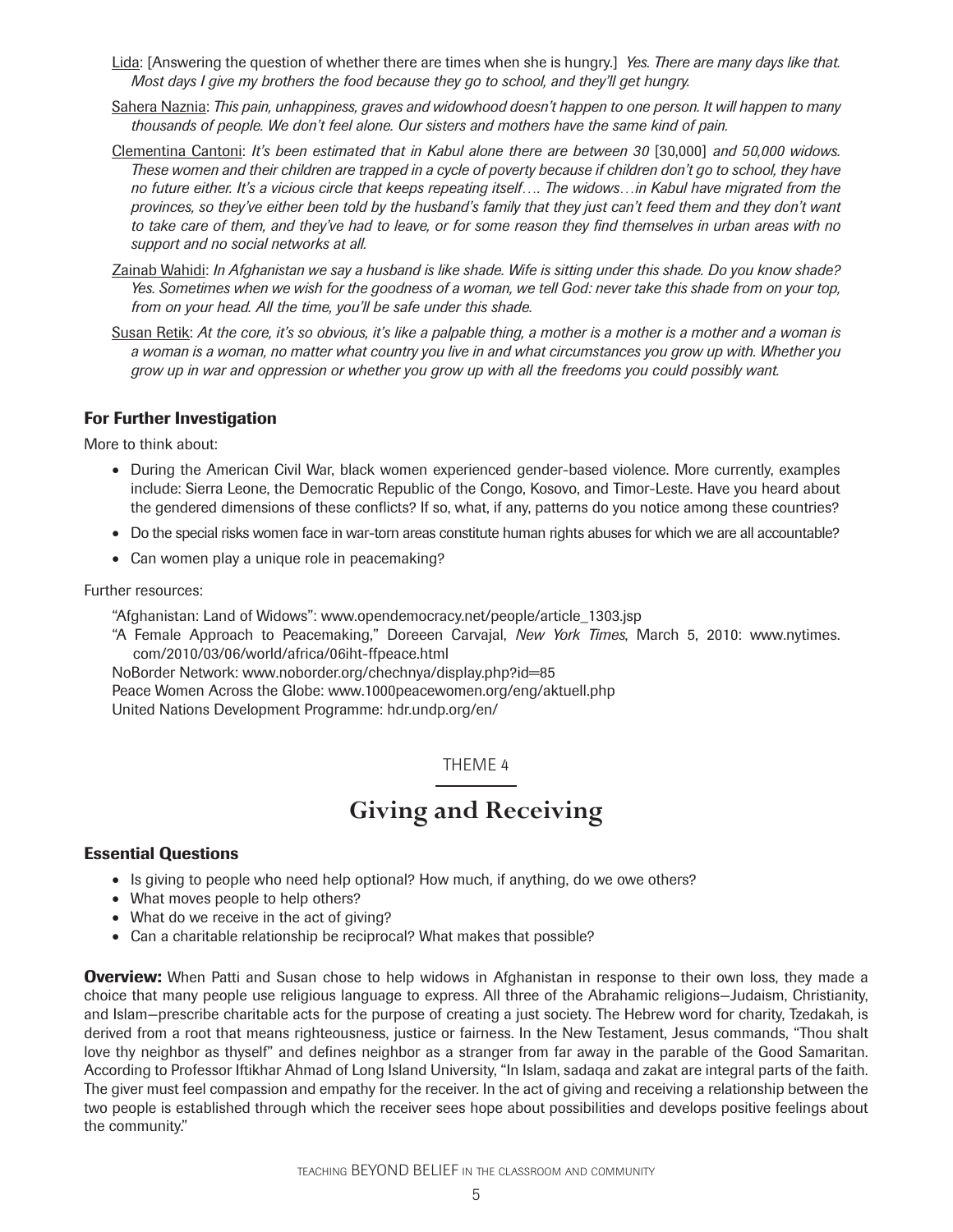- Lida: [Answering the question of whether there are times when she is hungry.] *Yes. There are many days like that. Most days I give my brothers the food because they go to school, and they'll get hungry.*
- Sahera Naznia: *This pain, unhappiness, graves and widowhood doesn't happen to one person. It will happen to many thousands of people. We don't feel alone. Our sisters and mothers have the same kind of pain.*
- Clementina Cantoni: *It's been estimated that in Kabul alone there are between 30* [30,000] and 50,000 widows. *These women and their children are trapped in a cycle of poverty because if children don't go to school, they have no future either. It's a vicious circle that keeps repeating itself…. The widows…in Kabul have migrated from the provinces, so they've either been told by the husband's family that they just can't feed them and they don't want to take care of them, and they've had to leave, or for some reason they find themselves in urban areas with no support and no social networks at all.*
- Zainab Wahidi: *In Afghanistan we say a husband is like shade. Wife is sitting under this shade. Do you know shade? Yes. Sometimes when we wish for the goodness of a woman, we tell God: never take this shade from on your top, from on your head. All the time, you'll be safe under this shade.*
- Susan Retik: *At the core, it's so obvious, it's like a palpable thing, a mother is a mother is a mother and a woman is a woman is a woman, no matter what country you live in and what circumstances you grow up with. Whether you grow up in war and oppression or whether you grow up with all the freedoms you could possibly want.*

More to think about:

- During the American Civil War, black women experienced gender-based violence. More currently, examples include: Sierra Leone, the Democratic Republic of the Congo, Kosovo, and Timor-Leste. Have you heard about the gendered dimensions of these conflicts? If so, what, if any, patterns do you notice among these countries?
- Do the special risks women face in war-torn areas constitute human rights abuses for which we are all accountable?
- Can women play a unique role in peacemaking?

#### Further resources:

"Afghanistan: Land of Widows": www.opendemocracy.net/people/article\_1303.jsp

"A Female Approach to Peacemaking," Doreeen Carvajal, *New York Times*, March 5, 2010: www.nytimes. com/2010/03/06/world/africa/06iht-ffpeace.html

NoBorder Network: www.noborder.org/chechnya/display.php?id=85

Peace Women Across the Globe: www.1000peacewomen.org/eng/aktuell.php United Nations Development Programme: hdr.undp.org/en/

# THEME 4

# **Giving and Receiving**

# **Essential Questions**

- Is giving to people who need help optional? How much, if anything, do we owe others?
- What moves people to help others?
- What do we receive in the act of giving?
- Can a charitable relationship be reciprocal? What makes that possible?

**Overview:** When Patti and Susan chose to help widows in Afghanistan in response to their own loss, they made a choice that many people use religious language to express. All three of the Abrahamic religions—Judaism, Christianity, and Islam—prescribe charitable acts for the purpose of creating a just society. The Hebrew word for charity, Tzedakah, is derived from a root that means righteousness, justice or fairness. In the New Testament, Jesus commands, "Thou shalt love thy neighbor as thyself" and defines neighbor as a stranger from far away in the parable of the Good Samaritan. According to Professor Iftikhar Ahmad of Long Island University, "In Islam, sadaqa and zakat are integral parts of the faith. The giver must feel compassion and empathy for the receiver. In the act of giving and receiving a relationship between the two people is established through which the receiver sees hope about possibilities and develops positive feelings about the community."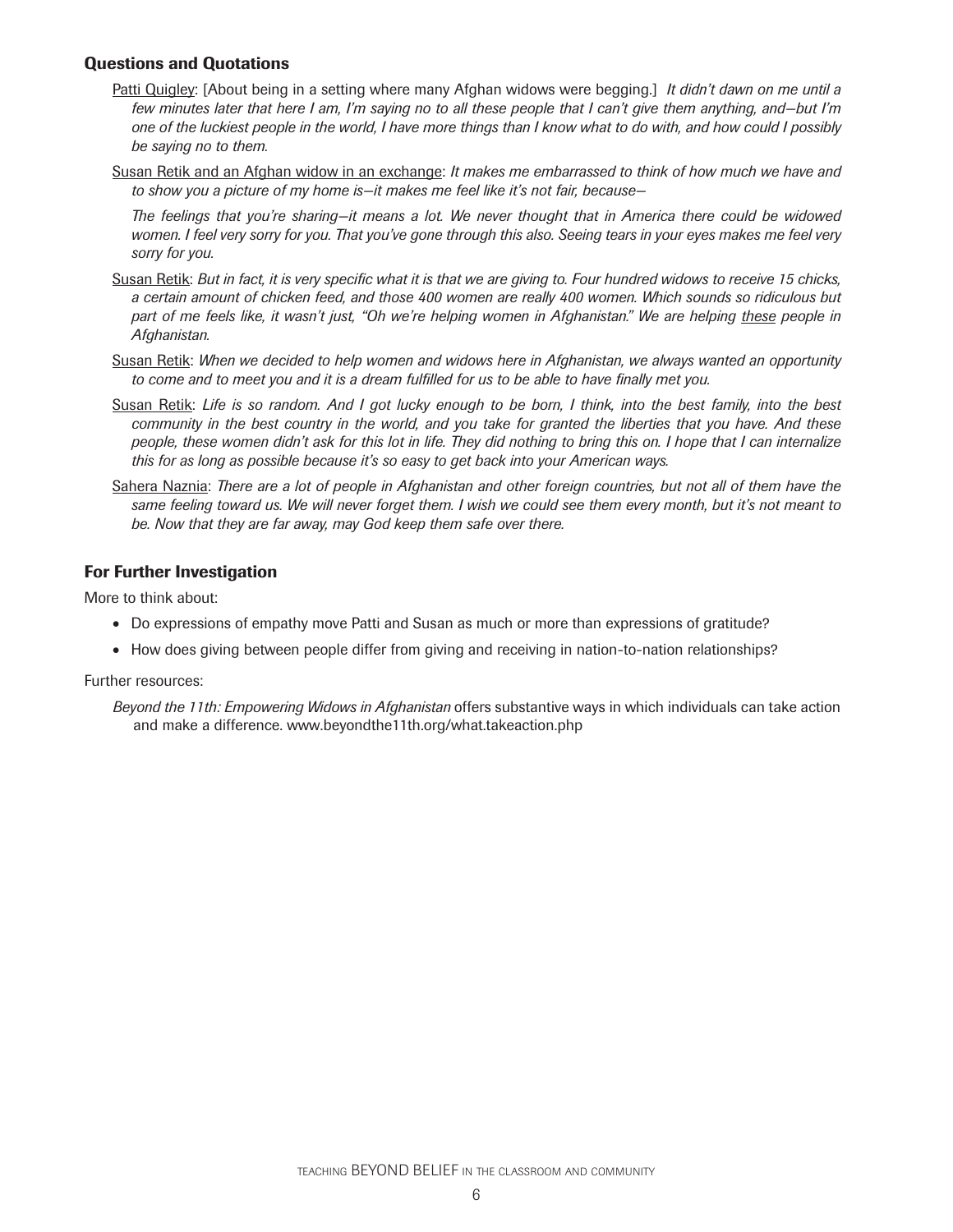# **Questions and Quotations**

- Patti Quigley: [About being in a setting where many Afghan widows were begging.] *It didn't dawn on me until a few minutes later that here I am, I'm saying no to all these people that I can't give them anything, and—but I'm one of the luckiest people in the world, I have more things than I know what to do with, and how could I possibly be saying no to them.*
- Susan Retik and an Afghan widow in an exchange: *It makes me embarrassed to think of how much we have and to show you a picture of my home is—it makes me feel like it's not fair, because—*

 *The feelings that you're sharing—it means a lot. We never thought that in America there could be widowed women. I feel very sorry for you. That you've gone through this also. Seeing tears in your eyes makes me feel very sorry for you.*

- Susan Retik: *But in fact, it is very specific what it is that we are giving to. Four hundred widows to receive 15 chicks*, *a certain amount of chicken feed, and those 400 women are really 400 women. Which sounds so ridiculous but*  part of me feels like, it wasn't just, "Oh we're helping women in Afghanistan." We are helping these people in *Afghanistan.*
- Susan Retik: *When we decided to help women and widows here in Afghanistan, we always wanted an opportunity to come and to meet you and it is a dream fulfilled for us to be able to have finally met you.*
- Susan Retik: *Life is so random. And I got lucky enough to be born, I think, into the best family, into the best community in the best country in the world, and you take for granted the liberties that you have. And these people, these women didn't ask for this lot in life. They did nothing to bring this on. I hope that I can internalize this for as long as possible because it's so easy to get back into your American ways.*
- Sahera Naznia: *There are a lot of people in Afghanistan and other foreign countries, but not all of them have the same feeling toward us. We will never forget them. I wish we could see them every month, but it's not meant to be. Now that they are far away, may God keep them safe over there.*

# **For Further Investigation**

More to think about:

- Do expressions of empathy move Patti and Susan as much or more than expressions of gratitude?
- How does giving between people differ from giving and receiving in nation-to-nation relationships?

Further resources:

*Beyond the 11th: Empowering Widows in Afghanistan* offers substantive ways in which individuals can take action and make a difference. www.beyondthe11th.org/what.takeaction.php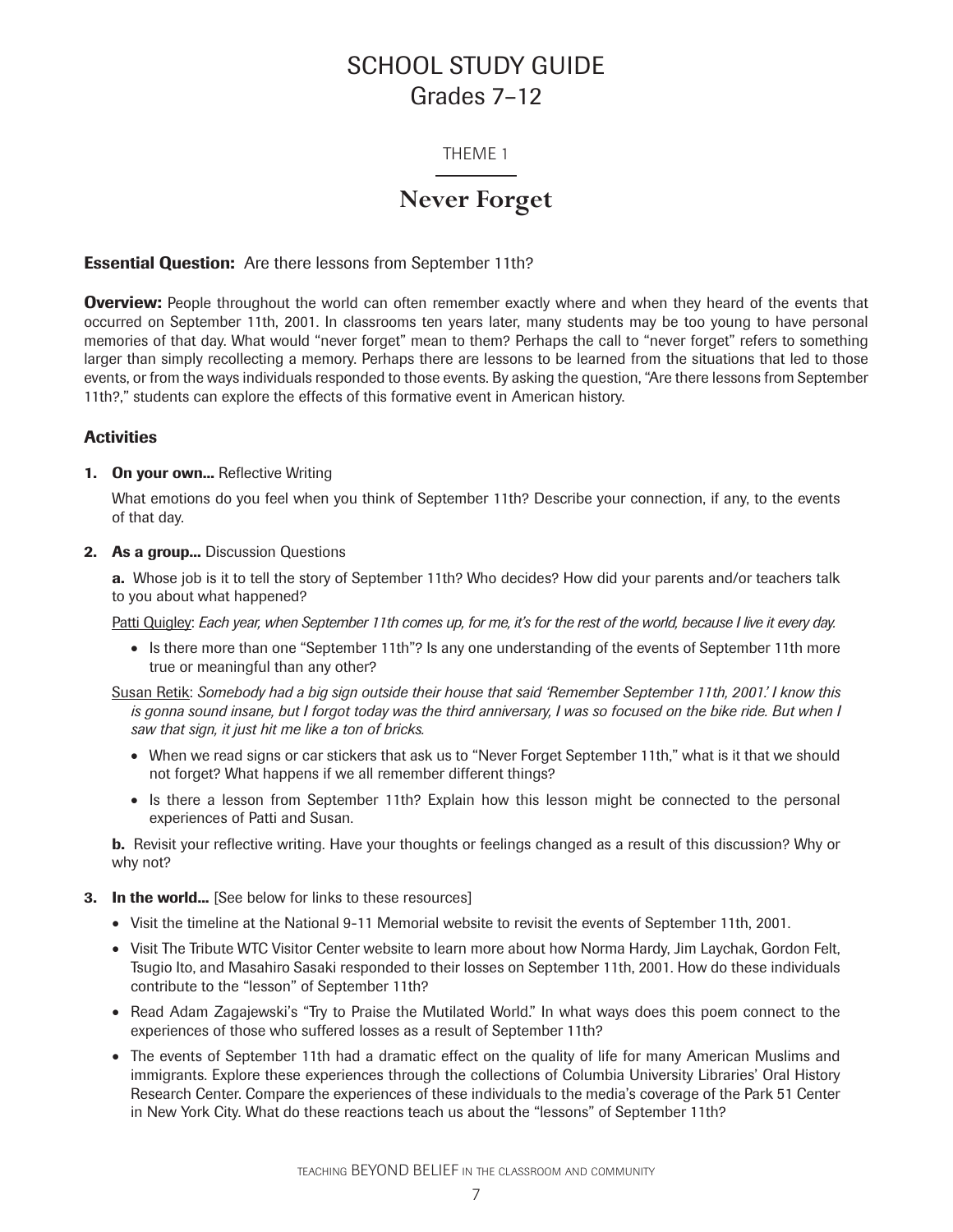# SCHOOL STUDY GUIDE Grades 7–12

# THEME 1

# **Never Forget**

# **Essential Question:** Are there lessons from September 11th?

**Overview:** People throughout the world can often remember exactly where and when they heard of the events that occurred on September 11th, 2001. In classrooms ten years later, many students may be too young to have personal memories of that day. What would "never forget" mean to them? Perhaps the call to "never forget" refers to something larger than simply recollecting a memory. Perhaps there are lessons to be learned from the situations that led to those events, or from the ways individuals responded to those events. By asking the question, "Are there lessons from September 11th?," students can explore the effects of this formative event in American history.

# **Activities**

#### **1. On your own...** Reflective Writing

What emotions do you feel when you think of September 11th? Describe your connection, if any, to the events of that day.

#### **2. As a group...** Discussion Questions

**a.** Whose job is it to tell the story of September 11th? Who decides? How did your parents and/or teachers talk to you about what happened?

Patti Quigley: *Each year, when September 11th comes up, for me, it's for the rest of the world, because I live it every day.*

- Is there more than one "September 11th"? Is any one understanding of the events of September 11th more true or meaningful than any other?
- Susan Retik: *Somebody had a big sign outside their house that said 'Remember September 11th, 2001.' I know this is gonna sound insane, but I forgot today was the third anniversary, I was so focused on the bike ride. But when I saw that sign, it just hit me like a ton of bricks.*
	- When we read signs or car stickers that ask us to "Never Forget September 11th," what is it that we should not forget? What happens if we all remember different things?
	- Is there a lesson from September 11th? Explain how this lesson might be connected to the personal experiences of Patti and Susan.

**b.** Revisit your reflective writing. Have your thoughts or feelings changed as a result of this discussion? Why or why not?

#### **3.** In the world... [See below for links to these resources]

- Visit the timeline at the National 9-11 Memorial website to revisit the events of September 11th, 2001.
- Visit The Tribute WTC Visitor Center website to learn more about how Norma Hardy, Jim Laychak, Gordon Felt, Tsugio Ito, and Masahiro Sasaki responded to their losses on September 11th, 2001. How do these individuals contribute to the "lesson" of September 11th?
- Read Adam Zagajewski's "Try to Praise the Mutilated World." In what ways does this poem connect to the experiences of those who suffered losses as a result of September 11th?
- The events of September 11th had a dramatic effect on the quality of life for many American Muslims and immigrants. Explore these experiences through the collections of Columbia University Libraries' Oral History Research Center. Compare the experiences of these individuals to the media's coverage of the Park 51 Center in New York City. What do these reactions teach us about the "lessons" of September 11th?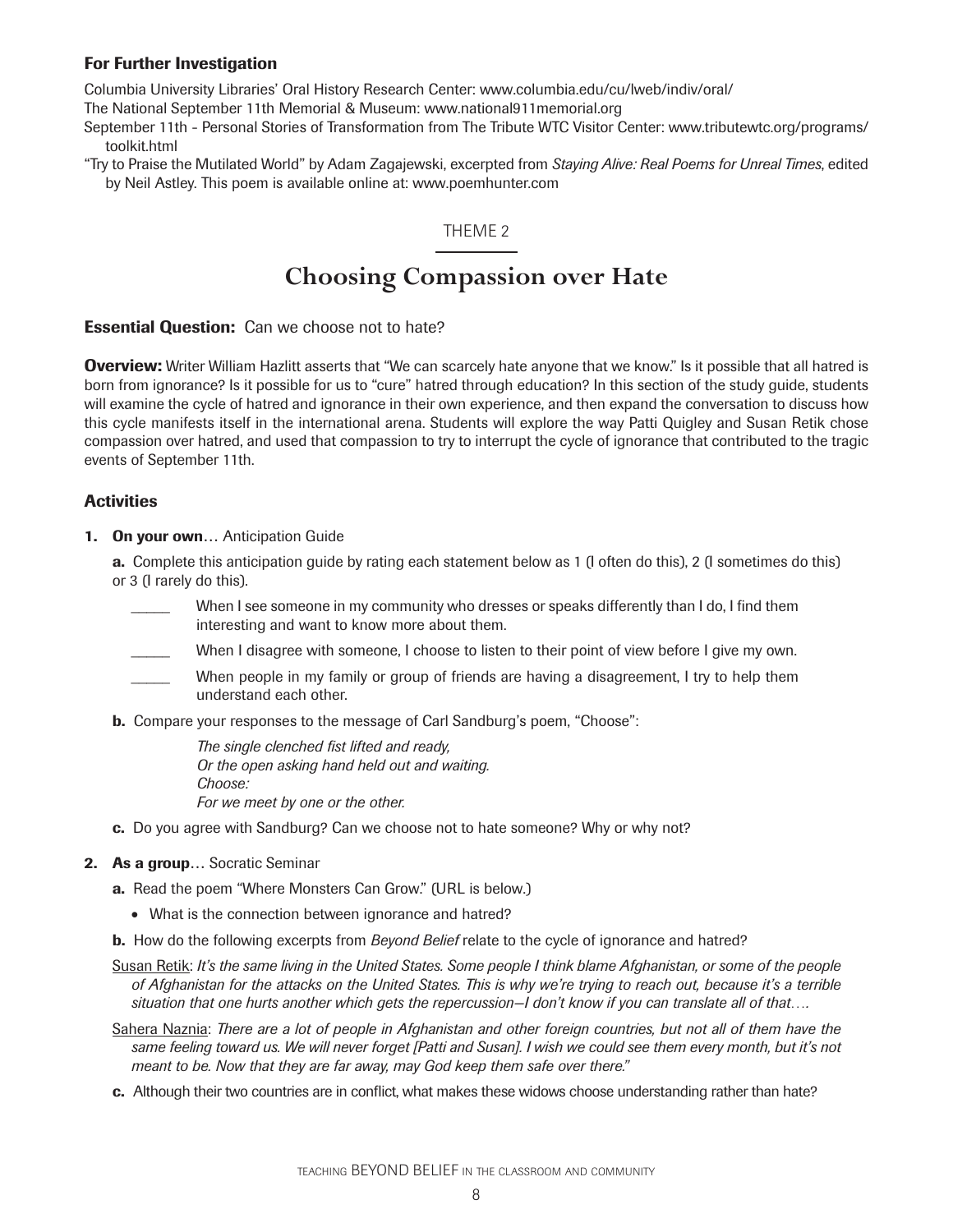Columbia University Libraries' Oral History Research Center: www.columbia.edu/cu/lweb/indiv/oral/

The National September 11th Memorial & Museum: www.national911memorial.org

September 11th - Personal Stories of Transformation from The Tribute WTC Visitor Center: www.tributewtc.org/programs/ toolkit.html

"Try to Praise the Mutilated World" by Adam Zagajewski, excerpted from *Staying Alive: Real Poems for Unreal Times*, edited by Neil Astley. This poem is available online at: www.poemhunter.com

# THEME 2

# **Choosing Compassion over Hate**

**Essential Question:** Can we choose not to hate?

**Overview:** Writer William Hazlitt asserts that "We can scarcely hate anyone that we know." Is it possible that all hatred is born from ignorance? Is it possible for us to "cure" hatred through education? In this section of the study guide, students will examine the cycle of hatred and ignorance in their own experience, and then expand the conversation to discuss how this cycle manifests itself in the international arena. Students will explore the way Patti Quigley and Susan Retik chose compassion over hatred, and used that compassion to try to interrupt the cycle of ignorance that contributed to the tragic events of September 11th.

# **Activities**

**1. On your own…** Anticipation Guide

**a.** Complete this anticipation guide by rating each statement below as 1 (I often do this), 2 (I sometimes do this) or 3 (I rarely do this).

- When I see someone in my community who dresses or speaks differently than I do, I find them interesting and want to know more about them.
- When I disagree with someone, I choose to listen to their point of view before I give my own.
- When people in my family or group of friends are having a disagreement, I try to help them understand each other.
- **b.** Compare your responses to the message of Carl Sandburg's poem, "Choose":

The single clenched fist lifted and ready, *Or the open asking hand held out and waiting. Choose: For we meet by one or the other.*

**c.** Do you agree with Sandburg? Can we choose not to hate someone? Why or why not?

#### **2. As a group…** Socratic Seminar

**a.** Read the poem "Where Monsters Can Grow." (URL is below.)

- What is the connection between ignorance and hatred?
- **b.** How do the following excerpts from *Beyond Belief* relate to the cycle of ignorance and hatred?

Susan Retik: *It's the same living in the United States. Some people I think blame Afghanistan, or some of the people of Afghanistan for the attacks on the United States. This is why we're trying to reach out, because it's a terrible situation that one hurts another which gets the repercussion—I don't know if you can translate all of that….*

- Sahera Naznia: *There are a lot of people in Afghanistan and other foreign countries, but not all of them have the*  same feeling toward us. We will never forget [Patti and Susan]. I wish we could see them every month, but it's not *meant to be. Now that they are far away, may God keep them safe over there."*
- **c.** Although their two countries are in conflict, what makes these widows choose understanding rather than hate?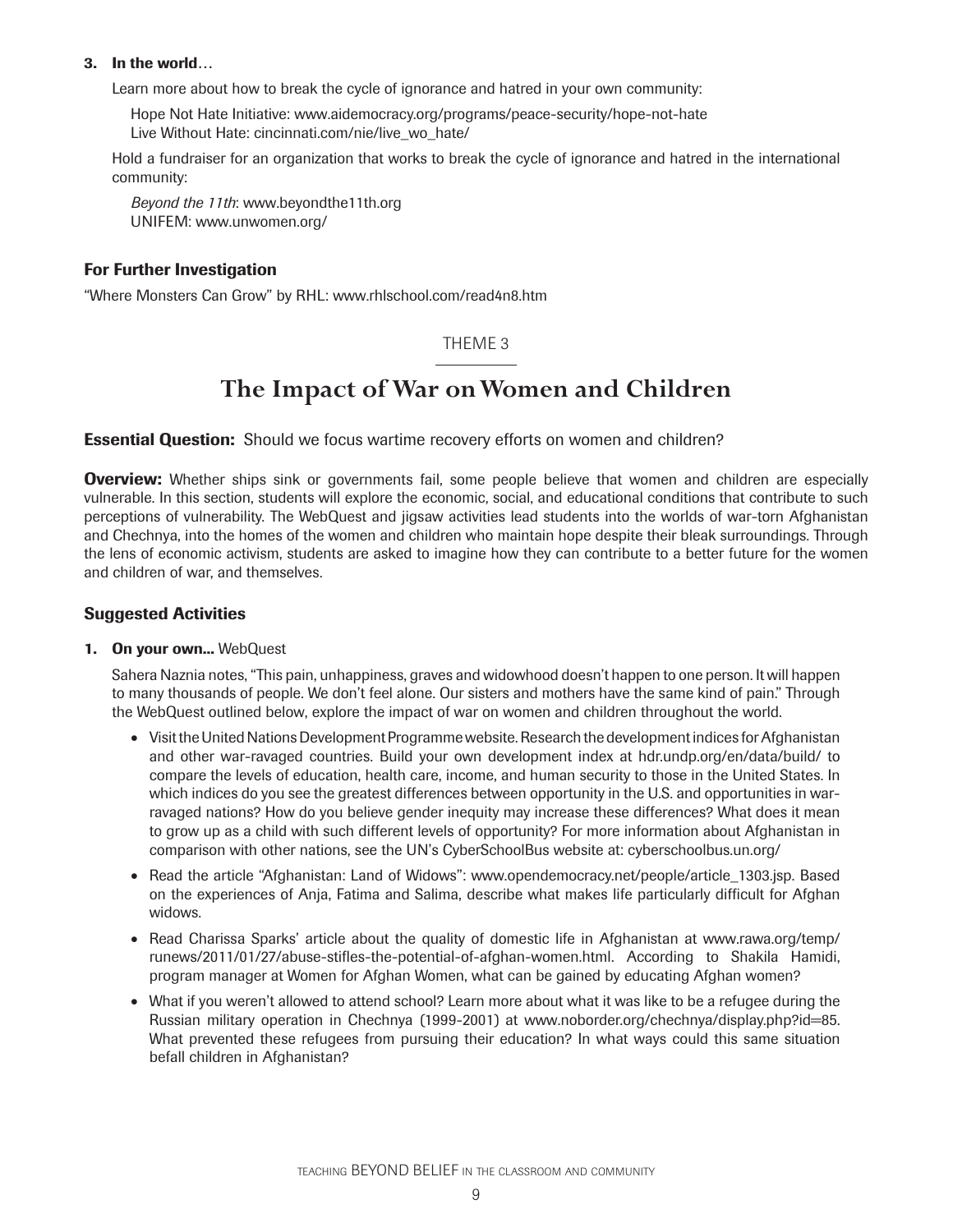## **3. In the world…**

Learn more about how to break the cycle of ignorance and hatred in your own community:

Hope Not Hate Initiative: www.aidemocracy.org/programs/peace-security/hope-not-hate Live Without Hate: cincinnati.com/nie/live\_wo\_hate/

Hold a fundraiser for an organization that works to break the cycle of ignorance and hatred in the international community:

*Beyond the 11th*: www.beyondthe11th.org UNIFEM: www.unwomen.org/

# **For Further Investigation**

"Where Monsters Can Grow" by RHL: www.rhlschool.com/read4n8.htm

# THEME 3

# **The Impact of War on Women and Children**

**Essential Question:** Should we focus wartime recovery efforts on women and children?

**Overview:** Whether ships sink or governments fail, some people believe that women and children are especially vulnerable. In this section, students will explore the economic, social, and educational conditions that contribute to such perceptions of vulnerability. The WebQuest and jigsaw activities lead students into the worlds of war-torn Afghanistan and Chechnya, into the homes of the women and children who maintain hope despite their bleak surroundings. Through the lens of economic activism, students are asked to imagine how they can contribute to a better future for the women and children of war, and themselves.

# **Suggested Activities**

#### **1. On your own...** WebQuest

Sahera Naznia notes, "This pain, unhappiness, graves and widowhood doesn't happen to one person. It will happen to many thousands of people. We don't feel alone. Our sisters and mothers have the same kind of pain." Through the WebQuest outlined below, explore the impact of war on women and children throughout the world.

- Visit the United Nations Development Programme website. Research the development indices for Afghanistan and other war-ravaged countries. Build your own development index at hdr.undp.org/en/data/build/ to compare the levels of education, health care, income, and human security to those in the United States. In which indices do you see the greatest differences between opportunity in the U.S. and opportunities in warravaged nations? How do you believe gender inequity may increase these differences? What does it mean to grow up as a child with such different levels of opportunity? For more information about Afghanistan in comparison with other nations, see the UN's CyberSchoolBus website at: cyberschoolbus.un.org/
- Read the article "Afghanistan: Land of Widows": www.opendemocracy.net/people/article 1303.jsp. Based on the experiences of Anja, Fatima and Salima, describe what makes life particularly difficult for Afghan widows.
- Read Charissa Sparks' article about the quality of domestic life in Afghanistan at www.rawa.org/temp/ runews/2011/01/27/abuse-stifles-the-potential-of-afghan-women.html. According to Shakila Hamidi, program manager at Women for Afghan Women, what can be gained by educating Afghan women?
- What if you weren't allowed to attend school? Learn more about what it was like to be a refugee during the Russian military operation in Chechnya (1999-2001) at www.noborder.org/chechnya/display.php?id=85. What prevented these refugees from pursuing their education? In what ways could this same situation befall children in Afghanistan?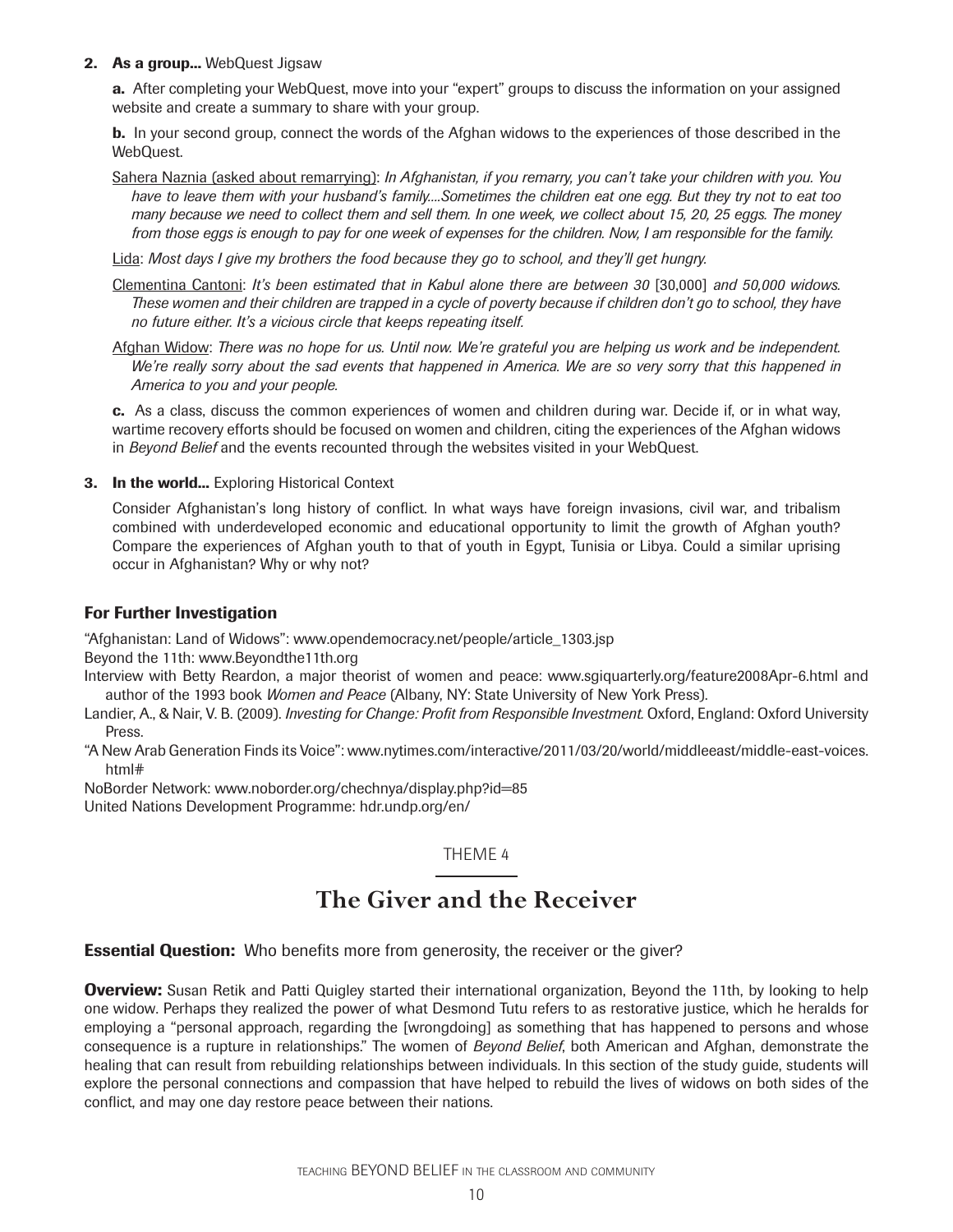## **2. As a group...** WebQuest Jigsaw

**a.** After completing your WebQuest, move into your "expert" groups to discuss the information on your assigned website and create a summary to share with your group.

**b.** In your second group, connect the words of the Afghan widows to the experiences of those described in the WebQuest.

Sahera Naznia (asked about remarrying): *In Afghanistan, if you remarry, you can't take your children with you. You have to leave them with your husband's family....Sometimes the children eat one egg. But they try not to eat too many because we need to collect them and sell them. In one week, we collect about 15, 20, 25 eggs. The money from those eggs is enough to pay for one week of expenses for the children. Now, I am responsible for the family.*

Lida: *Most days I give my brothers the food because they go to school, and they'll get hungry.*

- Clementina Cantoni: *It's been estimated that in Kabul alone there are between 30* [30,000] and 50,000 widows. *These women and their children are trapped in a cycle of poverty because if children don't go to school, they have no future either. It's a vicious circle that keeps repeating itself.*
- Afghan Widow: *There was no hope for us. Until now. We're grateful you are helping us work and be independent. We're really sorry about the sad events that happened in America. We are so very sorry that this happened in America to you and your people.*

**c.** As a class, discuss the common experiences of women and children during war. Decide if, or in what way, wartime recovery efforts should be focused on women and children, citing the experiences of the Afghan widows in *Beyond Belief* and the events recounted through the websites visited in your WebQuest.

**3.** In the world... Exploring Historical Context

Consider Afghanistan's long history of conflict. In what ways have foreign invasions, civil war, and tribalism combined with underdeveloped economic and educational opportunity to limit the growth of Afghan youth? Compare the experiences of Afghan youth to that of youth in Egypt, Tunisia or Libya. Could a similar uprising occur in Afghanistan? Why or why not?

# **For Further Investigation**

"Afghanistan: Land of Widows": www.opendemocracy.net/people/article\_1303.jsp Beyond the 11th: www.Beyondthe11th.org

Interview with Betty Reardon, a major theorist of women and peace: www.sgiquarterly.org/feature2008Apr-6.html and author of the 1993 book *Women and Peace* (Albany, NY: State University of New York Press).

- Landier, A., & Nair, V. B. (2009). *Investing for Change: Profit from Responsible Investment*. Oxford, England: Oxford University Press.
- "A New Arab Generation Finds its Voice": www.nytimes.com/interactive/2011/03/20/world/middleeast/middle-east-voices. html#

NoBorder Network: www.noborder.org/chechnya/display.php?id=85

United Nations Development Programme: hdr.undp.org/en/

# THEME 4

# **The Giver and the Receiver**

**Essential Question:** Who benefits more from generosity, the receiver or the giver?

**Overview:** Susan Retik and Patti Quigley started their international organization, Beyond the 11th, by looking to help one widow. Perhaps they realized the power of what Desmond Tutu refers to as restorative justice, which he heralds for employing a "personal approach, regarding the [wrongdoing] as something that has happened to persons and whose consequence is a rupture in relationships." The women of *Beyond Belief*, both American and Afghan, demonstrate the healing that can result from rebuilding relationships between individuals. In this section of the study guide, students will explore the personal connections and compassion that have helped to rebuild the lives of widows on both sides of the conflict, and may one day restore peace between their nations.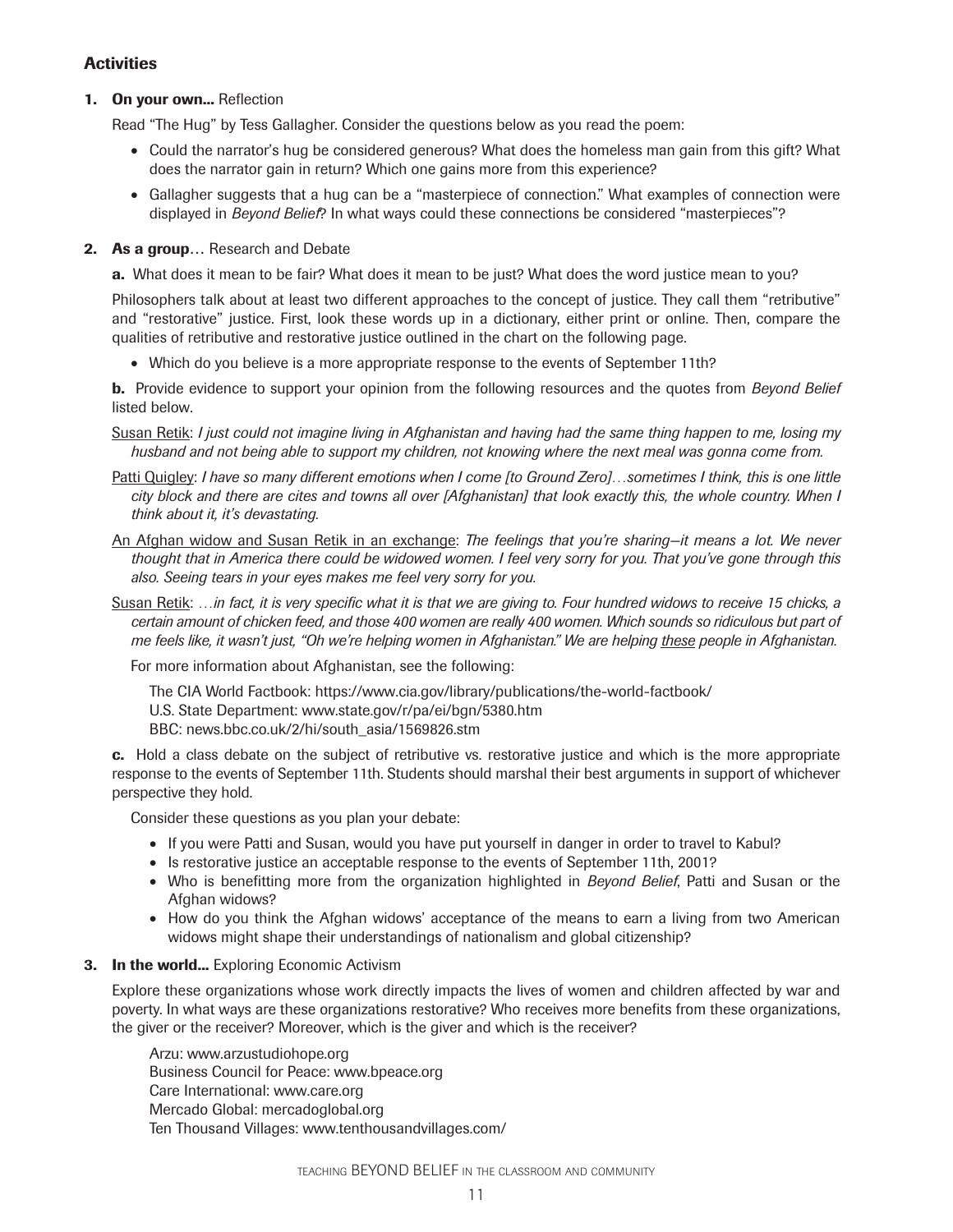# **Activities**

## **1. On your own...** Reflection

Read "The Hug" by Tess Gallagher. Consider the questions below as you read the poem:

- Could the narrator's hug be considered generous? What does the homeless man gain from this gift? What does the narrator gain in return? Which one gains more from this experience?
- Gallagher suggests that a hug can be a "masterpiece of connection." What examples of connection were displayed in *Beyond Belief*? In what ways could these connections be considered "masterpieces"?

## **2. As a group…** Research and Debate

**a.** What does it mean to be fair? What does it mean to be just? What does the word justice mean to you?

Philosophers talk about at least two different approaches to the concept of justice. They call them "retributive" and "restorative" justice. First, look these words up in a dictionary, either print or online. Then, compare the qualities of retributive and restorative justice outlined in the chart on the following page.

• Which do you believe is a more appropriate response to the events of September 11th?

**b.** Provide evidence to support your opinion from the following resources and the quotes from *Beyond Belief* listed below.

- Susan Retik: *I just could not imagine living in Afghanistan and having had the same thing happen to me, losing my husband and not being able to support my children, not knowing where the next meal was gonna come from.*
- Patti Quigley: *I have so many different emotions when I come [to Ground Zero]…sometimes I think, this is one little city block and there are cites and towns all over [Afghanistan] that look exactly this, the whole country. When I think about it, it's devastating.*
- An Afghan widow and Susan Retik in an exchange: *The feelings that you're sharing—it means a lot. We never thought that in America there could be widowed women. I feel very sorry for you. That you've gone through this also. Seeing tears in your eyes makes me feel very sorry for you.*
- Susan Retik: ...in fact, it is very specific what it is that we are giving to. Four hundred widows to receive 15 chicks, a *certain amount of chicken feed, and those 400 women are really 400 women. Which sounds so ridiculous but part of me feels like, it wasn't just, "Oh we're helping women in Afghanistan." We are helping these people in Afghanistan.*

For more information about Afghanistan, see the following:

The CIA World Factbook: https://www.cia.gov/library/publications/the-world-factbook/ U.S. State Department: www.state.gov/r/pa/ei/bgn/5380.htm BBC: news.bbc.co.uk/2/hi/south\_asia/1569826.stm

**c.** Hold a class debate on the subject of retributive vs. restorative justice and which is the more appropriate response to the events of September 11th. Students should marshal their best arguments in support of whichever perspective they hold.

Consider these questions as you plan your debate:

- If you were Patti and Susan, would you have put yourself in danger in order to travel to Kabul?
- Is restorative justice an acceptable response to the events of September 11th, 2001?
- Who is benefitting more from the organization highlighted in *Beyond Belief*, Patti and Susan or the Afghan widows?
- How do you think the Afghan widows' acceptance of the means to earn a living from two American widows might shape their understandings of nationalism and global citizenship?

#### **3.** In the world... Exploring Economic Activism

Explore these organizations whose work directly impacts the lives of women and children affected by war and poverty. In what ways are these organizations restorative? Who receives more benefits from these organizations, the giver or the receiver? Moreover, which is the giver and which is the receiver?

Arzu: www.arzustudiohope.org Business Council for Peace: www.bpeace.org Care International: www.care.org Mercado Global: mercadoglobal.org Ten Thousand Villages: www.tenthousandvillages.com/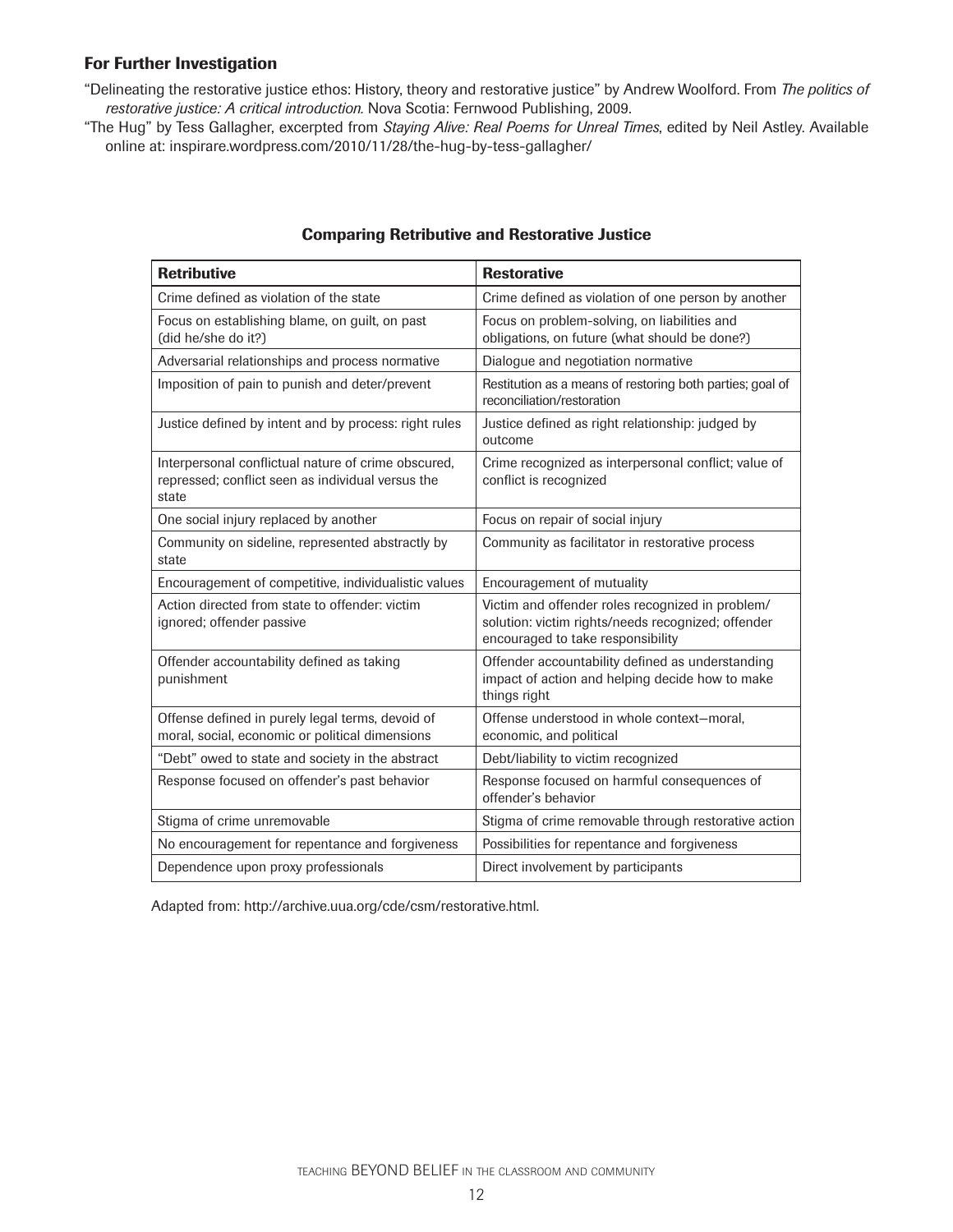"Delineating the restorative justice ethos: History, theory and restorative justice" by Andrew Woolford. From *The politics of restorative justice: A critical introduction.* Nova Scotia: Fernwood Publishing, 2009.

"The Hug" by Tess Gallagher, excerpted from *Staying Alive: Real Poems for Unreal Times*, edited by Neil Astley. Available online at: inspirare.wordpress.com/2010/11/28/the-hug-by-tess-gallagher/

| <b>Retributive</b>                                                                                                | <b>Restorative</b>                                                                                                                          |
|-------------------------------------------------------------------------------------------------------------------|---------------------------------------------------------------------------------------------------------------------------------------------|
| Crime defined as violation of the state                                                                           | Crime defined as violation of one person by another                                                                                         |
| Focus on establishing blame, on guilt, on past<br>(did he/she do it?)                                             | Focus on problem-solving, on liabilities and<br>obligations, on future (what should be done?)                                               |
| Adversarial relationships and process normative                                                                   | Dialogue and negotiation normative                                                                                                          |
| Imposition of pain to punish and deter/prevent                                                                    | Restitution as a means of restoring both parties; goal of<br>reconciliation/restoration                                                     |
| Justice defined by intent and by process: right rules                                                             | Justice defined as right relationship: judged by<br>outcome                                                                                 |
| Interpersonal conflictual nature of crime obscured,<br>repressed; conflict seen as individual versus the<br>state | Crime recognized as interpersonal conflict; value of<br>conflict is recognized                                                              |
| One social injury replaced by another                                                                             | Focus on repair of social injury                                                                                                            |
| Community on sideline, represented abstractly by<br>state                                                         | Community as facilitator in restorative process                                                                                             |
| Encouragement of competitive, individualistic values                                                              | Encouragement of mutuality                                                                                                                  |
| Action directed from state to offender: victim<br>ignored; offender passive                                       | Victim and offender roles recognized in problem/<br>solution: victim rights/needs recognized; offender<br>encouraged to take responsibility |
| Offender accountability defined as taking<br>punishment                                                           | Offender accountability defined as understanding<br>impact of action and helping decide how to make<br>things right                         |
| Offense defined in purely legal terms, devoid of<br>moral, social, economic or political dimensions               | Offense understood in whole context-moral,<br>economic, and political                                                                       |
| "Debt" owed to state and society in the abstract                                                                  | Debt/liability to victim recognized                                                                                                         |
| Response focused on offender's past behavior                                                                      | Response focused on harmful consequences of<br>offender's behavior                                                                          |
| Stigma of crime unremovable                                                                                       | Stigma of crime removable through restorative action                                                                                        |
| No encouragement for repentance and forgiveness                                                                   | Possibilities for repentance and forgiveness                                                                                                |
| Dependence upon proxy professionals                                                                               | Direct involvement by participants                                                                                                          |

## **Comparing Retributive and Restorative Justice**

Adapted from: http://archive.uua.org/cde/csm/restorative.html.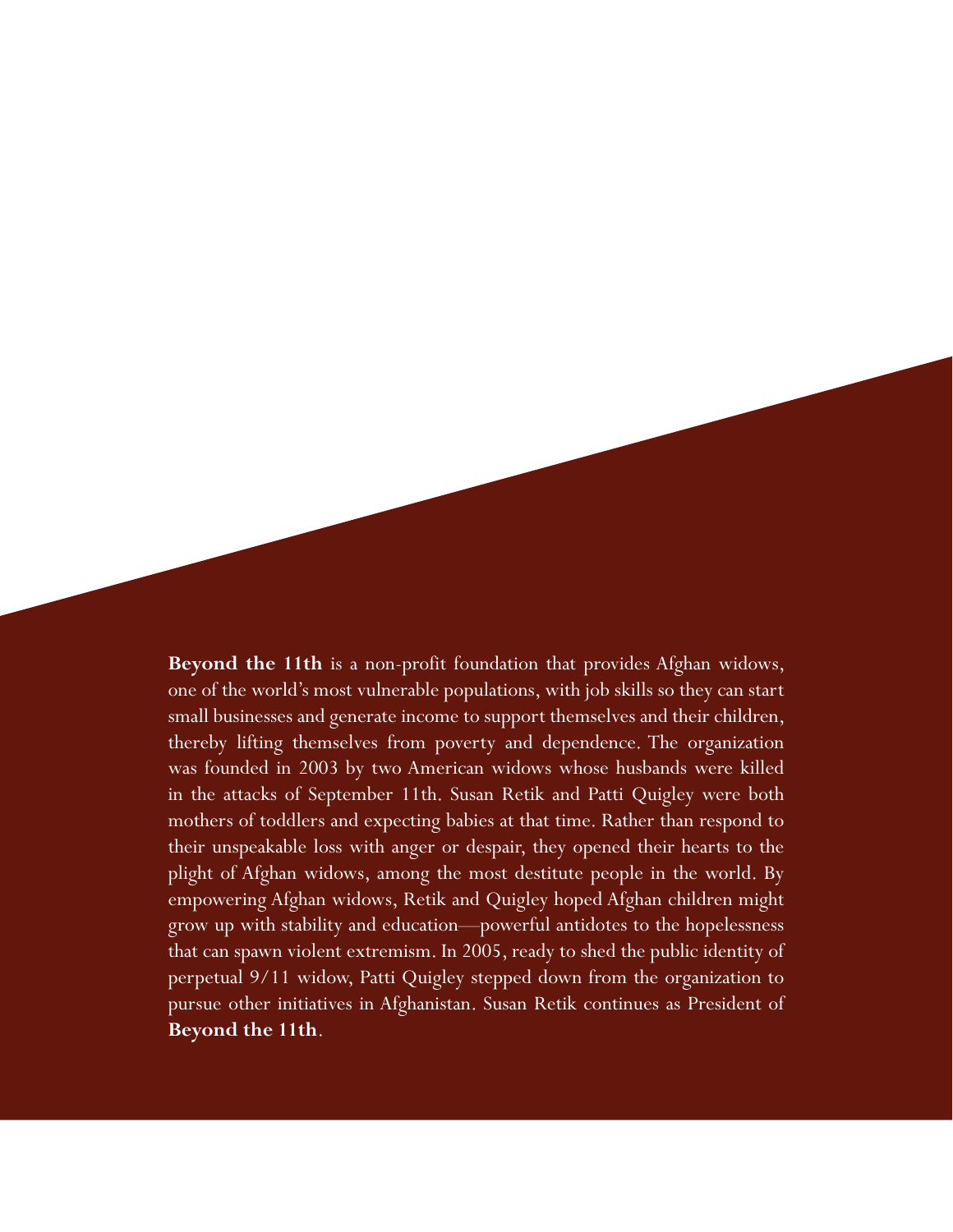**Beyond the 11th** is a non-profit foundation that provides Afghan widows, one of the world's most vulnerable populations, with job skills so they can start small businesses and generate income to support themselves and their children, thereby lifting themselves from poverty and dependence. The organization was founded in 2003 by two American widows whose husbands were killed in the attacks of September 11th. Susan Retik and Patti Quigley were both mothers of toddlers and expecting babies at that time. Rather than respond to their unspeakable loss with anger or despair, they opened their hearts to the plight of Afghan widows, among the most destitute people in the world. By empowering Afghan widows, Retik and Quigley hoped Afghan children might grow up with stability and education—powerful antidotes to the hopelessness that can spawn violent extremism. In 2005, ready to shed the public identity of perpetual 9/11 widow, Patti Quigley stepped down from the organization to pursue other initiatives in Afghanistan. Susan Retik continues as President of **Beyond the 11th**.